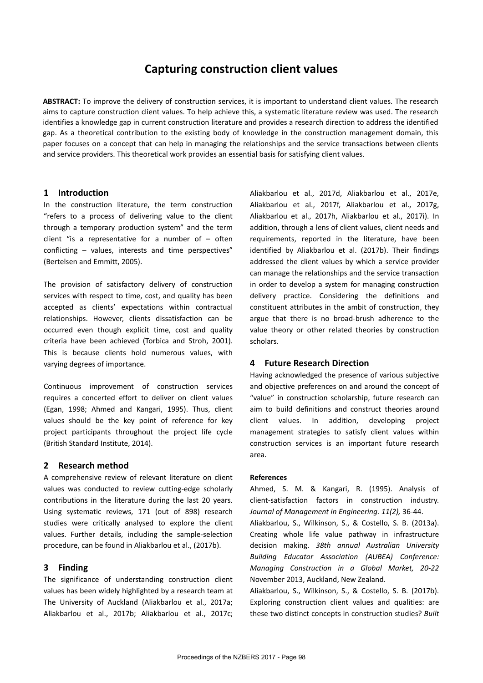# **Capturing construction client values**

**ABSTRACT:** To improve the delivery of construction services, it is important to understand client values. The research aims to capture construction client values. To help achieve this, a systematic literature review was used. The research identifies a knowledge gap in current construction literature and provides a research direction to address the identified gap. As a theoretical contribution to the existing body of knowledge in the construction management domain, this paper focuses on a concept that can help in managing the relationships and the service transactions between clients and service providers. This theoretical work provides an essential basis for satisfying client values.

## **1 Introduction**

In the construction literature, the term construction "refers to a process of delivering value to the client through a temporary production system" and the term client "is a representative for a number of  $-$  often conflicting – values, interests and time perspectives" (Bertelsen and Emmitt, 2005).

The provision of satisfactory delivery of construction services with respect to time, cost, and quality has been accepted as clients' expectations within contractual relationships. However, clients dissatisfaction can be occurred even though explicit time, cost and quality criteria have been achieved (Torbica and Stroh, 2001). This is because clients hold numerous values, with varying degrees of importance.

Continuous improvement of construction services requires a concerted effort to deliver on client values (Egan, 1998; Ahmed and Kangari, 1995). Thus, client values should be the key point of reference for key project participants throughout the project life cycle (British Standard Institute, 2014).

### **2 Research method**

A comprehensive review of relevant literature on client values was conducted to review cutting-edge scholarly contributions in the literature during the last 20 years. Using systematic reviews, 171 (out of 898) research studies were critically analysed to explore the client values. Further details, including the sample-selection procedure, can be found in Aliakbarlou et al., (2017b).

### **3 Finding**

The significance of understanding construction client values has been widely highlighted by a research team at The University of Auckland (Aliakbarlou et al., 2017a; Aliakbarlou et al., 2017b; Aliakbarlou et al., 2017c; Aliakbarlou et al., 2017d, Aliakbarlou et al., 2017e, Aliakbarlou et al., 2017f, Aliakbarlou et al., 2017g, Aliakbarlou et al., 2017h, Aliakbarlou et al., 2017i). In addition, through a lens of client values, client needs and requirements, reported in the literature, have been identified by Aliakbarlou et al. (2017b). Their findings addressed the client values by which a service provider can manage the relationships and the service transaction in order to develop a system for managing construction delivery practice. Considering the definitions and constituent attributes in the ambit of construction, they argue that there is no broad-brush adherence to the value theory or other related theories by construction scholars.

### **4 Future Research Direction**

Having acknowledged the presence of various subjective and objective preferences on and around the concept of "value" in construction scholarship, future research can aim to build definitions and construct theories around client values. In addition, developing project management strategies to satisfy client values within construction services is an important future research area.

#### **References**

Ahmed, S. M. & Kangari, R. (1995). Analysis of client-satisfaction factors in construction industry. *Journal of Management in Engineering. 11(2),* 36-44.

Aliakbarlou, S., Wilkinson, S., & Costello, S. B. (2013a). Creating whole life value pathway in infrastructure decision making. *38th annual Australian University Building Educator Association (AUBEA) Conference: Managing Construction in a Global Market, 20-22* November 2013, Auckland, New Zealand.

Aliakbarlou, S., Wilkinson, S., & Costello, S. B. (2017b). Exploring construction client values and qualities: are these two distinct concepts in construction studies? *Built*